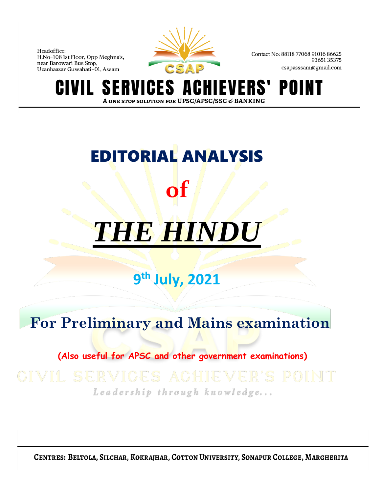

Contact No: 88118 77068 91016 86625 9365135375 csapasssam@gmail.com

S VERS' POI IGES A N T ERVI A ONE STOP SOLUTION FOR UPSC/APSC/SSC & BANKING

# EDITORIAL ANALYSIS **of**

## *THE HINDU*

### **9 th July, 2021**

### **For Preliminary and Mains examination**

 **(Also useful for APSC and other government examinations)**

## Leadership through knowledge...

CENTRES: BELTOLA, SILCHAR, KOKRAJHAR, COTTON UNIVERSITY, SONAPUR COLLEGE, MARGHERITA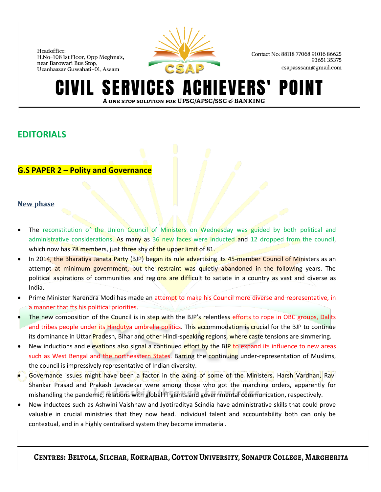

Contact No: 88118 77068 91016 86625 9365135375 csapasssam@gmail.com

#### **SERVICES A** CHIEVERS' POINT A ONE STOP SOLUTION FOR UPSC/APSC/SSC & BANKING

#### **EDITORIALS**

#### **G.S PAPER 2 – Polity and Governance**

#### **New phase**

- The reconstitution of the Union Council of Ministers on Wednesday was guided by both political and administrative considerations. As many as 36 new faces were inducted and 12 dropped from the council, which now has 78 members, just three shy of the upper limit of 81.
- In 2014, the Bharatiya Janata Party (BJP) began its rule advertising its 45-member Council of Ministers as an attempt at minimum government, but the restraint was quietly abandoned in the following years. The political aspirations of communities and regions are difficult to satiate in a country as vast and diverse as India.
- Prime Minister Narendra Modi has made an attempt to make his Council more diverse and representative, in a manner that fts his political priorities.
- The new composition of the Council is in step with the BJP's relentless efforts to rope in OBC groups, Dalits and tribes people under its Hindutva umbrella politics. This accommodation is crucial for the BJP to continue its dominance in Uttar Pradesh, Bihar and other Hindi-speaking regions, where caste tensions are simmering.
- New inductions and elevations also signal a continued effort by the BJP to expand its influence to new areas such as West Bengal and the northeastern States. Barring the continuing under-representation of Muslims, the council is impressively representative of Indian diversity.
- Governance issues might have been a factor in the axing of some of the Ministers. Harsh Vardhan, Ravi Shankar Prasad and Prakash Javadekar were among those who got the marching orders, apparently for mishandling the pandemic, relations with global IT giants and governmental communication, respectively.
- New inductees such as Ashwini Vaishnaw and Jyotiraditya Scindia have administrative skills that could prove valuable in crucial ministries that they now head. Individual talent and accountability both can only be contextual, and in a highly centralised system they become immaterial.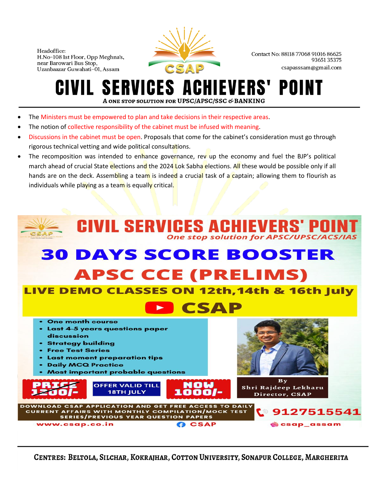

Contact No: 88118 77068 91016 86625 9365135375 csapasssam@gmail.com

### **CIVIL SERVICES ACHIEVERS' POINT** A ONE STOP SOLUTION FOR UPSC/APSC/SSC & BANKING

- The Ministers must be empowered to plan and take decisions in their respective areas.
- The notion of collective responsibility of the cabinet must be infused with meaning.
- Discussions in the cabinet must be open. Proposals that come for the cabinet's consideration must go through rigorous technical vetting and wide political consultations.
- The recomposition was intended to enhance governance, rev up the economy and fuel the BJP's political march ahead of crucial State elections and the 2024 Lok Sabha elections. All these would be possible only if all hands are on the deck. Assembling a team is indeed a crucial task of a captain; allowing them to flourish as individuals while playing as a team is equally critical.

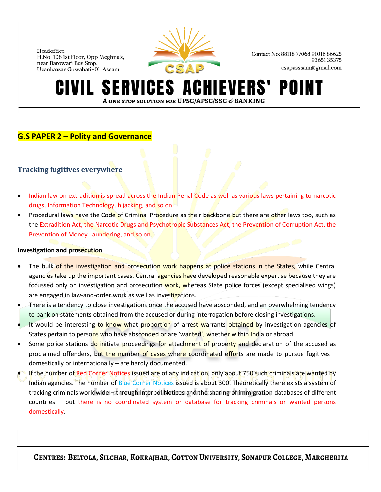

Contact No: 88118 77068 91016 86625 9365135375 csapasssam@gmail.com

#### **SERVICES A IEVERS'** POINT IVIL-A ONE STOP SOLUTION FOR UPSC/APSC/SSC & BANKING

#### **G.S PAPER 2 – Polity and Governance**

#### **Tracking fugitives everywhere**

- Indian law on extradition is spread across the Indian Penal Code as well as various laws pertaining to narcotic drugs, Information Technology, hijacking, and so on.
- Procedural laws have the Code of Criminal Procedure as their backbone but there are other laws too, such as the Extradition Act, the Narcotic Drugs and Psychotropic Substances Act, the Prevention of Corruption Act, the Prevention of Money Laundering, and so on.

#### **Investigation and prosecution**

- The bulk of the investigation and prosecution work happens at police stations in the States, while Central agencies take up the important cases. Central agencies have developed reasonable expertise because they are focussed only on investigation and prosecution work, whereas State police forces (except specialised wings) are engaged in law-and-order work as well as investigations.
- There is a tendency to close investigations once the accused have absconded, and an overwhelming tendency to bank on statements obtained from the accused or during interrogation before closing investigations.
- It would be interesting to know what proportion of arrest warrants obtained by investigation agencies of States pertain to persons who have absconded or are 'wanted', whether within India or abroad.
- Some police stations do initiate proceedings for attachment of property and declaration of the accused as proclaimed offenders, but the number of cases where coordinated efforts are made to pursue fugitives domestically or internationally – are hardly documented.
- If the number of Red Corner Notices issued are of any indication, only about 750 such criminals are wanted by Indian agencies. The number of Blue Corner Notices issued is about 300. Theoretically there exists a system of tracking criminals worldwide – through Interpol Notices and the sharing of immigration databases of different countries – but there is no coordinated system or database for tracking criminals or wanted persons domestically.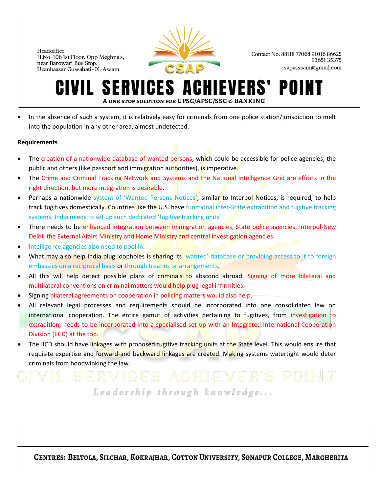

Contact No: 88118 77068 91016 86625 9365135375 csapasssam@gmail.com

#### **SERVICES AO CHIEVERS'** POII IVIL. A ONE STOP SOLUTION FOR UPSC/APSC/SSC & BANKING

• In the absence of such a system, it is relatively easy for criminals from one police station/jurisdiction to melt into the population in any other area, almost undetected.

#### **Requirements**

- The creation of a nationwide database of wanted persons, which could be accessible for police agencies, the public and others (like passport and immigration authorities), is imperative.
- The Crime and Criminal Tracking Network and Systems and the National Intelligence Grid are efforts in the right direction, but more integration is desirable.
- Perhaps a nationwide system of 'Wanted Persons Notices', similar to Interpol Notices, is required, to help track fugitives domestically. Countries like the U.S. have functional inter-State extradition and fugitive tracking systems; India needs to set up such dedicated 'fugitive tracking units'.
- There needs to be enhanced integration between immigration agencies, State police agencies, Interpol-New Delhi, the External Afairs Ministry and Home Ministry and central investigation agencies.
- Intelligence agencies also need to pool in.
- What may also help India plug loopholes is sharing its 'wanted' database or providing access to it to foreign embassies on a reciprocal basis or through treaties or arrangements.
- All this will help detect possible plans of criminals to abscond abroad. Signing of more bilateral and multilateral conventions on criminal matters would help plug legal infirmities.
- Signing bilateral agreements on cooperation in policing matters would also help.
- All relevant legal processes and requirements should be incorporated into one consolidated law on international cooperation. The entire gamut of activities pertaining to fugitives, from investigation to extradition, needs to be incorporated into a specialised set-up with an Integrated International Cooperation Division (IICD) at the top.
- The IICD should have linkages with proposed fugitive tracking units at the State level. This would ensure that requisite expertise and forward-and backward linkages are created. Making systems watertight would deter criminals from hoodwinking the law.

Leadership through knowledge...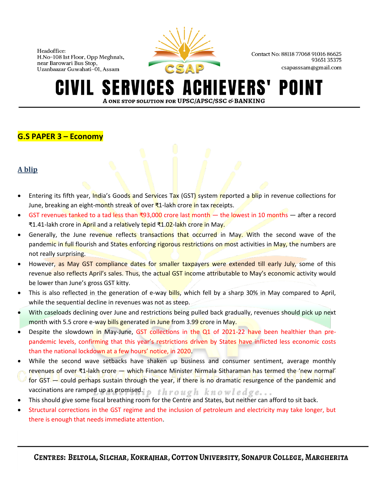

Contact No: 88118 77068 91016 86625 9365135375 csapasssam@gmail.com

#### **SERVICES A IEVERS'** POI A ONE STOP SOLUTION FOR UPSC/APSC/SSC & BANKING

#### **G.S PAPER 3 – Economy**

#### **A blip**

- Entering its fifth year, India's Goods and Services Tax (GST) system reported a blip in revenue collections for June, breaking an eight-month streak of over ₹1-lakh crore in tax receipts.
- GST revenues tanked to a tad less than ₹93,000 crore last month the lowest in 10 months after a record ₹1.41-lakh crore in April and a relatively tepid ₹1.02-lakh crore in May.
- Generally, the June revenue reflects transactions that occurred in May. With the second wave of the pandemic in full flourish and States enforcing rigorous restrictions on most activities in May, the numbers are not really surprising.
- However, as May GST compliance dates for smaller taxpayers were extended till early July, some of this revenue also reflects April's sales. Thus, the actual GST income attributable to May's economic activity would be lower than June's gross GST kitty.
- This is also reflected in the generation of e-way bills, which fell by a sharp 30% in May compared to April, while the sequential decline in revenues was not as steep.
- With caseloads declining over June and restrictions being pulled back gradually, revenues should pick up next month with 5.5 crore e-way bills generated in June from 3.99 crore in May.
- Despite the slowdown in May-June, GST collections in the Q1 of 2021-22 have been healthier than prepandemic levels, confirming that this year's restrictions driven by States have inflicted less economic costs than the national lockdown at a few hours' notice, in 2020.
- While the second wave setbacks have shaken up business and consumer sentiment, average monthly revenues of over ₹1-lakh crore — which Finance Minister Nirmala Sitharaman has termed the 'new normal' for GST — could perhaps sustain through the year, if there is no dramatic resurgence of the pandemic and vaccinations are ramped up as promised.jp  $t h r o u g h$   $k n o w l e d g e ...$
- This should give some fiscal breathing room for the Centre and States, but neither can afford to sit back.
- Structural corrections in the GST regime and the inclusion of petroleum and electricity may take longer, but there is enough that needs immediate attention.